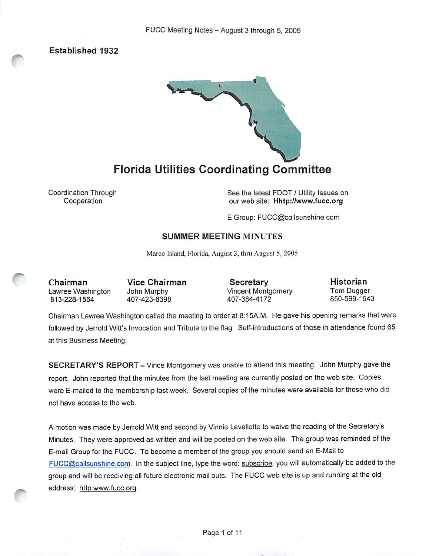Established 1932



Florida Utilities Coordinating Committee

Coordination Through Cooperation

See the latest FDOT / Utility Issues on our web site; Hhtp;//www.fucc.org

E Group: FUCC@callsunshine.com

# SUMMER MEETING MINUTES

Marco Island, Florida, August 3, thru August 5, 2005

Chairman Lawree Washington 813-228-1564

Vice Chairman John Murphy 407-423-8398

Secretary Vincent Montgomery 407-384-4172

Historian Tom Dugger 850-599-1543

Chairman Lawree Washington called the meeting to order at 8:15A.M. He gave his opening remarks that were followed by Jerrold Witt's Invocation and Tribute to the flag. Self-introductions of those in attendance found 65 at this Business Meeting.

SECRETARY'S REPORT - Vince Montgomery was unable to attend this meeting. John Murphy gave the report. John reported that the minutes from the last meeting are currently posted on the web site. Copies were E-mailed to the membership last week. Several copies of the minutes were available for those who did not have access to the web.

A motion was made by Jerrold Witt and second by Vinnie Lavallette to waive the reading of the Secretary's Minutes. They were approved as written and will be posted on the web site. The group was reminded of the E-mail Group for the FUCC. To become a member of the group you should send an E-Mail to FUCC@callsunshine.com. In the subject line, type the word: subscribe, you will automatically be added to the group and will be receiving all future electronic mail outs. The FUCC web site is up and running at the old address: http:www.fucc.ora.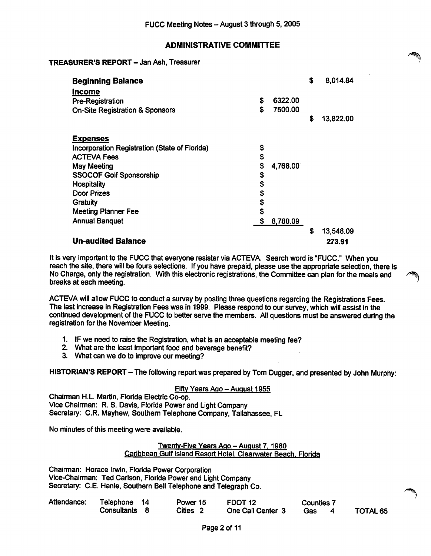# ADMINISTRATIVE COMMITTEE

# TREASURER'S REPORT - Jan Ash, Treasurer

| <b>Beginning Balance</b><br><b>Income</b>     |    |          | \$<br>8,014.84  |
|-----------------------------------------------|----|----------|-----------------|
| <b>Pre-Registration</b>                       | \$ | 6322.00  |                 |
| <b>On-Site Registration &amp; Sponsors</b>    | S  | 7500.00  |                 |
|                                               |    |          | \$<br>13,822.00 |
| <b>Expenses</b>                               |    |          |                 |
| Incorporation Registration (State of Florida) | \$ |          |                 |
| <b>ACTEVA Fees</b>                            | \$ |          |                 |
| May Meeting                                   | \$ | 4,768.00 |                 |
| <b>SSOCOF Golf Sponsorship</b>                | \$ |          |                 |
| <b>Hospitality</b>                            | \$ |          |                 |
| <b>Door Prizes</b>                            | \$ |          |                 |
| Gratuity                                      | \$ |          |                 |
| <b>Meeting Planner Fee</b>                    | \$ |          |                 |
| <b>Annual Banquet</b>                         | \$ | 8,780.09 |                 |
|                                               |    |          | \$<br>13,548.09 |
| <b>Un-audited Balance</b>                     |    |          | 273.91          |

It is very important to the FUCC that everyone resister via ACTEVA. Search word is "FUCC." When you reach the site, there will be fours selections. If you have prepaid, please use the appropriate selection, there is No Charge, only the registration. With this electronic registrations, the Committee can plan for the meals and breaks at each meeting.

ACTEVA will allow FUCC to conduct a survey by posting three questions regarding the Registrations Fees. The last increase in Registration Fees was in 1999. Please respond to our survey, which will assist in the continued development of the FUCC to better serve the members. All questions must be answered during the registration for the November Meeting.

- 1. IF we need to raise the Registration, what is an acceptable meeting fee?
- 2. What are the least important food and beverage benefit?
- 3. What can we do to improve our meeting?

HISTORIAN'S REPORT - The following report was prepared by Tom Dugger, and presented by John Murphy:

# Fifty Years Ago - August 1955

Chairman H.L Martin, Florida Electric Co-op. Vice Chairman: R. 8. Davis, Florida Power and Light Company Secretary: C.R. Mayhew, Southern Telephone Company, Tallahassee, FL

No minutes of this meeting were available.

#### Twenty-Five Years Ago - August 7, 1980 Caribbean Gulf Island Resort Hotel. Clearwater Beach. Florida

Chairman: Horace Irwin, Florida Power Corporation Vice-Chairman: Ted Carlson, Florida Power and Light Company Secretary: C.E. Hanle, Southern Bell Telephone and Telegraph Co.

| Attendance: | Telephone     | Power 15 | FDOT <sub>12</sub> | <b>Counties 7</b> |          |
|-------------|---------------|----------|--------------------|-------------------|----------|
|             | Consultants 8 | Cities 2 | One Call Center 3  | Gas               | TOTAL 65 |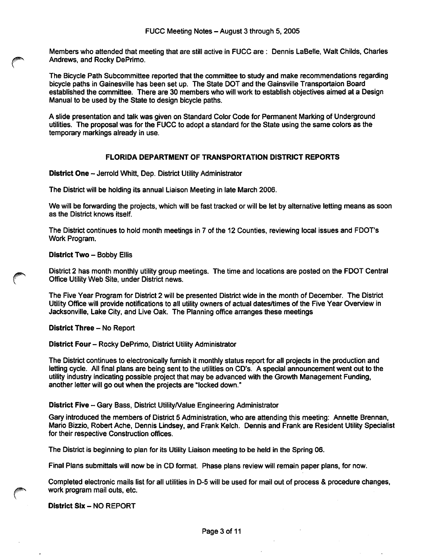Members who attended that meeting that are still active in FUCC are; Dennis LaBelle, Walt Childs, Charles Andrews, and Rocky DePrimo.

The Bicycle Path Subcommittee reported that the committee to study and make recommendations regarding bicycle paths in Gainesville has been set up. The State DOT and the Gainsville Transportaion Board established the committee. There are 30 members who will work to establish objectives aimed at a Design Manual to be used by the State to design bicycle paths.

A slide presentation and talk was given on Standard Color Code for Permanent Marking of Underground utilities. The proposal was for the FUCC to adopt a standard for the State using the same colors as the temporary markings already in use.

# FLORIDA DEPARTMENT OF TRANSPORTATION DISTRICT REPORTS

District One - Jerrold Whitt, Dep. District Utility Administrator

The District will be holding its annual Liaison Meeting in late March 2006.

We will be forwarding the projects, which will be fast tracked or will be let by alternative letting means as soon as the District knows itself.

The District continues to hold month meetings in 7 of the 12 Counties, reviewing local issues and FDOT's Work Program.

#### District Two - Bobby Ellis

District 2 has month monthly utility group meetings. The time and locations are posted on the FDOT Central Office Utility Web Site, under District news.

The Five Year Program for District 2 will be presented District wide in the month of December. The District Utility Office will provide notifications to all utility owners of actual dates/times of the Five Year Overview in Jacksonville, Lake City, and Live Oak. The Planning office arranges these meetings

District Three - No Report

#### District Four - Rocky DePrimo, District Utility Administrator

The District continues to electronically furnish it monthly status report for all projects in the production and letting cycle. All final plans are being sent to the utilities on CD's. A special announcement went out to the utility industry indicating possible project that may be advanced with the Growth Management Funding, another letter will go out when the projects are "locked down."

#### District Five - Gary Bass, District Utility/Value Engineering Administrator

Gary introduced the members of District 5 Administration, who are attending this meeting: Annette Brennan, Mario Bizzio, Robert Ache, Dennis Lindsey, and Frank Kelch. Dennis and Frank are Resident Utility Specialist for their respective Construction offices.

The District is beginning to plan for its Utility Liaison meeting to be held in the Spring 06.

Final Plans submittals will now be in CD format. Phase plans review will remain paper plans, for now.

Completed electronic mails list for all utilities in D-5 will be used for mail out of process & procedure changes, work program mail outs, etc.

#### District Six - NO REPORT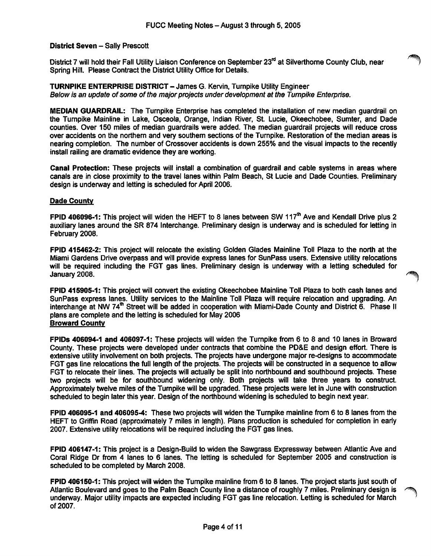# District Seven - Sally Prescott

District 7 will hold their Fall Utility Liaison Conference on September 23<sup>rd</sup> at Silverthorne County Club, near Spring Hill. Please Contract the District Utility Office for Details.

TURNPIKE ENTERPRISE DISTRICT - James G. Kervin, Tumpike Utility Engineer Below is an update of some of the major projects under development at the Turnpike Enterprise.

MEDIAN GUARDRAIL: The Turnpike Enterprise has completed the installation of new median guardrail on the Turnpike Mainline in Lake, Osceola, Orange, Indian River, St. Lucie, Okeechobee, Sumter, and Dade counties. Over 150 miles of median guardrails were added. The median guardrail projects will reduce cross over accidents on the northem and very southem sections of the Tumpike. Restoration of the median areas is nearing completion. The number of Crossover accidents is down 255% and the visual impacts to the recently install railing are dramatic evidence they are working.

Canal Protection: These projects will install a combination of guardrail and cable systems in areas where canals are in close proximity to the travel lanes within Palm Beach, St Lucie and Dade Counties. Preliminary design is underway and letting is scheduled for April 2006.

#### Dade County

FPID 406096-1: This project will widen the HEFT to 8 lanes between SW 117<sup>th</sup> Ave and Kendall Drive plus 2 auxiliary lanes around the SR 874 Interchange. Preliminary design is underway and is scheduled for letting in February 2008.

FPID 415462-2: This project will relocate the existing Golden Glades Mainline Toll Plaza to the north at the Miami Gardens Drive overpass and will provide express lanes for SunPass users. Extensive utility relocations will be required including the FGT gas lines. Preliminary design is underway with a letting scheduled for January 2008.

FPID 415905-1: This project will convert the existing Okeechobee Mainline Toll Plaza to both cash lanes and SunPass express lanes. Utility services to the Mainline Toll Plaza will require relocation and upgrading. An interchange at NW 74 $^{\text{th}}$  Street will be added in cooperation with Miami-Dade County and District 6. Phase II plans are complete and the letting is scheduled for May 2006 Broward County

FPIDs 406094-1 and 406097-1: These projects will widen the Turnpike from 6 to 8 and 10 lanes in Broward County. These projects were developed under contracts that combine the PD&E and design effort. There is extensive utility involvement on both projects. The projects have undergone major re-designs to accommodate FGT gas line relocations the full length of the projects. The projects will be constructed in a sequence to allow FGT to relocate their lines. The projects will actually be split into northbound and southbound projects. These two projects will be for southbound widening only. Both projects will take three years to construct. Approximately twelve miles of the Tumpike will be upgraded. These projects were let in June with construction scheduled to begin later this year. Design of the northbound widening is scheduled to begin next year.

FPID 406095-1 and 406095-4: These two projects will widen the Tumpike mainline from 6 to 8 lanes from the HEFT to Griffin Road (approximately 7 miles in length). Plans production is scheduled for completion in early 2007. Extensive utility relocations will be required including the FGT gas lines.

FPID 406147-1: This project is a Design-Build to widen the Sawgrass Expressway between Atlantic Ave and Coral Ridge Dr from 4 lanes to 6 lanes. The letting is scheduled for September 2005 and construction is scheduled to be completed by March 2008.

FPID 406150-1: This project will widen the Tumpike mainline from 6 to 8 lanes. The project starts just south of Atlantic Boulevard and goes to the Palm Beach County line a distance of roughly 7 miles. Preliminary design is underway. Major utility impacts are expected including FGT gas line relocation. Letting is scheduled for March of 2007.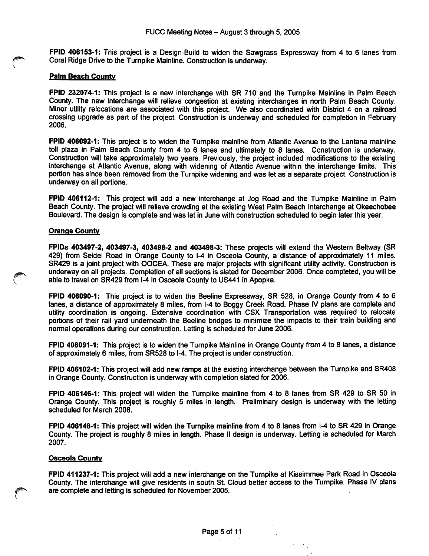FPID 406153-1: This project is a Design-Build to widen the Sawgrass Expressway from 4 to 6 lanes from Coral Ridge Drive to the Turnpike Mainline. Construction is underway.

#### Palm Beach County

FPID 232074-1: This project is a new interchange with SR 710 and the Turnpike Mainline in Palm Beach County. The new interchange will relieve congestion at existing interchanges in north Palm Beach County. Minor utility relocations are associated with this project. We also coordinated with District 4 on a railroad crossing upgrade as part of the project. Construction is underway and scheduled for completion in February 2006.

FPID 406092-1: This project is to widen the Turnpike mainline from Atlantic Avenue to the Lantana mainline toll plaza in Palm Beach County from 4 to 6 lanes and ultimately to 8 lanes. Construction is underway. Construction will take approximately two years. Previously, the project included modifications to the existing interchange at Atlantic Avenue, along with widening of Atlantic Avenue within the interchange limits. This portion has since been removed from the Turnpike widening and was let as a separate project. Construction is underway on all portions.

FPID 406112-1: This project will add a new interchange at Jog Road and the Tumpike Mainline in Palm Beach County. The project will relieve crowding at the existing West Palm Beach Interchange at Okeechobee Boulevard. The design is complete and was let in June with construction scheduled to begin later this year.

#### Orange Countv

FPIDs 403497-2, 403497-3, 403498-2 and 403498-3: These projects will extend the Western Beltway (SR 429) from Seidel Road in Orange County to 1-4 in Osceola County, a distance of approximately 11 miles. SR429 is a joint project with OOCEA. These are major projects with significant utility activity. Construction is underway on all projects. Completion of all sections is slated for December 2006. Once completed, you will be able to travel on SR429 from 1-4 in Osceola County to US441 in Apopka.

FPID 406090-1: This project is to widen the Beeline Expressway, SR 528, in Orange County from 4 to 6 lanes, a distance of approximately 8 miles, from I-4 to Boggy Creek Road. Phase IV plans are complete and utility coordination is ongoing. Extensive coordination with CSX Transportation was required to relocate portions of their rail yard underneath the Beeline bridges to minimize the impacts to their train building and normal operations during our construction. Letting is scheduled for June 2006.

FPID 406091-1: This project is to widen the Tumpike Mainline in Orange County from 4 to 8 lanes, a distance of approximately 6 miles, from SR528 to 1-4. The project is under construction.

FPID 406102-1: This project will add new ramps at the existing interchange between the Tumpike and SR408 in Orange County. Construction is underway with completion slated for 2006.

FPID 406146-1: This project will widen the Tumpike mainline from 4 to 8 lanes from SR 429 to SR 50 in Orange County. This project is roughly 5 miles in length. Preliminary design is underway with the letting scheduled for March 2008.

FPID 406148-1: This project will widen the Tumpike mainline from 4 to 8 lanes from 1-4 to SR 429 in Orange County. The project is roughly 8 miles in length. Phase II design is underway. Letting is scheduled for March 2007.

#### Osceola Countv

FPID 411237-1: This project will add a new interchange on the Turnpike at Kissimmee Park Road in Osceola County. The interchange will give residents in south St. Cloud better access to the Turnpike. Phase IV plans are complete and letting is scheduled for November 2005.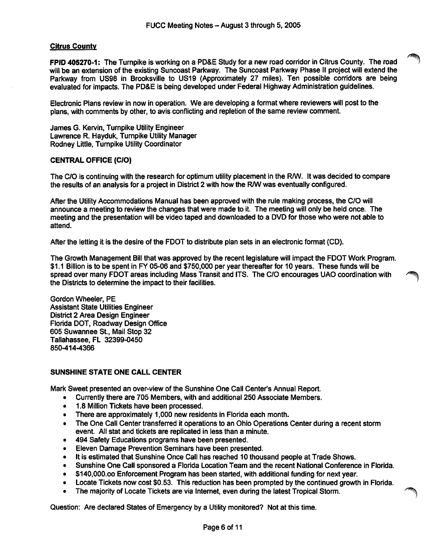#### Citrus County

FPID 405270-1: The Turnpike is working on a PD&E Study for a new road corridor in Citrus County. The road will be an extension of the existing Suncoast Parkway. The Suncoast Parkway Phase II project will extend the Parkway from US98 in Brooksville to US19 (Approximately 27 miles). Ten possible corridors are being evaluated for impacts. The PD&E is being developed under Federal Highway Administration guidelines.

Electronic Plans review in now in operation. We are developing a format where reviewers will post to the plans, with comments by other, to avis conflicting and repletion of the same review comment.

James G. Kervin, Turnpike Utility Engineer Lawrence R. Hayduk, Turnpike Utility Manager Rodney Little, Turnpike Utility Coordinator

# CENTRAL OFFICE (C/O)

The C/O is continuing with the research for optimum utility placement in the R/W. It was decided to compare the results of an analysis for a project in District 2 with how the R/W was eventually configured.

After the Utility Accommodations Manual has been approved with the rule making process, the C/O will announce a meeting to review the changes that were made to it. The meeting will only be held once. The meeting and the presentation will be video taped and downloaded to a DVD for those who were not able to attend.

After the letting it is the desire of the FDOT to distribute plan sets in an electronic format (CD).

The Growth Management Bill that was approved by the recent legislature will impact the FDOT Work Program. \$1.1 Billion is to be spent in FY 05-06 and \$750,000 per year thereafter for 10 years. These funds will be spread over many FDOT areas including Mass Transit and ITS. The C/O encourages UAO coordination with the Districts to determine the impact to their facilities.

Gordon Wheeler, PE Assistant State Utilities Engineer District 2 Area Design Engineer Florida DOT, Roadway Design Office 605 Suwannee St., Mail Stop 32 Tallahassee, FL 32399-0450 850-414-4366

#### SUNSHINE STATE ONE CALL CENTER

Mark Sweet presented an over-view of the Sunshine One Call Center's Annual Report.

- Currently there are 705 Members, with and additional 250 Associate Members.
- 1.8 Million Tickets have been processed.
- There are approximately 1,000 new residents in Florida each month.<br>• The One Call Center transferred it operations to an Ohio Operations (
- The One Call Center transferred it operations to an Ohio Operations Center during a recent storm event. All stat and tickets are replicated in less than a minute.
- 494 Safety Educations programs have been presented.
- Eleven Damage Prevention Seminars have been presented.
- It is estimated that Sunshine Once Call has reached 10 thousand people at Trade Shows.
- Sunshine One Call sponsored a Florida Location Team and the recent National Conference in Florida.
- \$140,000.oo Enforcement Program has been started, with additional funding for next year.
- Locate Tickets now cost \$0.53. This reduction has been prompted by the continued growth in Florida.
- The majority of Locate Tickets are via Internet, even during the latest Tropical Storm.

Question; Are declared States of Emergency by a Utility monitored? Not at this time.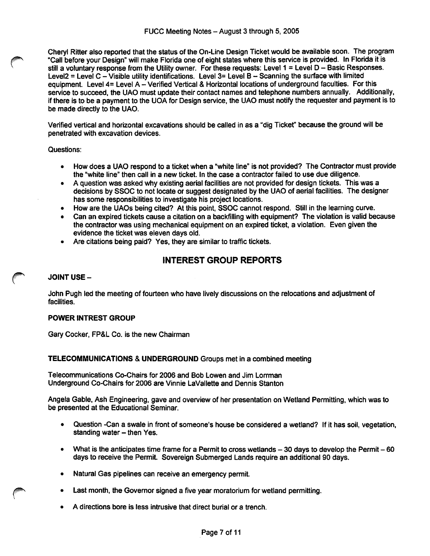Cheryl Ritter also reported that the status of the On-Llne Design Ticket would be available soon. The program "Call before your Design" will make Florida one of eight states where this service is provided. In Florida it is still a voluntary response from the Utility owner. For these requests: Level 1 = Level D - Basic Responses. Level2 = Level C - Visible utility identifications. Level 3= Level B - Scanning the surface with limited equipment. Level 4= Level A - Verified Vertical & Horizontal locations of underground faculties. For this service to succeed, the UAO must update their contact names and telephone numbers annually. Additionally, If there is to be a payment to the UOA for Design service, the UAO must notify the requester and payment is to be made directly to the UAO.

Verified vertical and horizontal excavations should be called in as a "dig Ticket" because the ground will be penetrated with excavation devices.

#### Questions:

- How does a UAO respond to a ticket when a "white line" Is not provided? The Contractor must provide the "white line" then call in a new ticket. In the case a contractor failed to use due diligence.
- A question was asked why existing aerial facilities are not provided for design tickets. This was a decisions by SSOC to not locate or suggest designated by the UAO of aerial facilities. The designer has some responsibilities to investigate his project locations.
- How are the UAOs being cited? At this point, SSOC cannot respond. Still In the learning curve.
- Can an expired tickets cause a citation on a backfilling with equipment? The violation is valid because the contractor was using mechanical equipment on an expired ticket, a violation. Even given the evidence the ticket was eleven days old.
- Are citations being paid? Yes, they are similar to traffic tickets.

# INTEREST GROUP REPORTS

#### JOINT USE-

John Pugh led the meeting of fourteen who have lively discussions on the relocations and adjustment of facilities.

#### POWER INTREST GROUP

Gary Cocker, FP&L Co. Is the new Chairman

# TELECOMMUNICATIONS & UNDERGROUND Groups met In a combined meeting

Telecommunications Co-Chairs for 2006 and Bob Lowen and Jim Lorrman Underground Co-Chairs for 2006 are Vinnie LaVallette and Dennis Stanton

Angela Gable, Ash Engineering, gave and overview of her presentation on Wetland Permitting, which was to be presented at the Educational Seminar.

- Question -Can a swale in front of someone's house be considered a wetland? If it has soil, vegetation, standing water - then Yes.
- What is the anticipates time frame for a Permit to cross wetlands  $-30$  days to develop the Permit  $-60$ days to receive the Permit. Sovereign Submerged Lands require an additional 90 days.
- Natural Gas pipelines can receive an emergency permit.
- Last month, the Govemor signed a five year moratorium for wetland permitting.
- A directions bore is less intrusive that direct burial or a trench.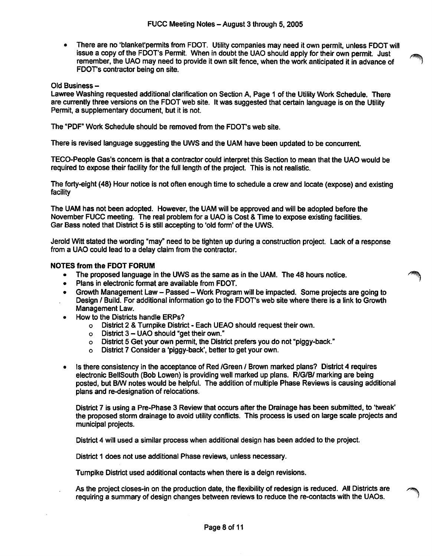• There are no 'blanket'permits from FDOT. Utility companies may need it own permit, unless FOOT will issue a copy of the FDOT's Permit. When in doubt the UAO should apply for their own permit. Just remember, the UAO may need to provide it own silt fence, when the work anticipated it in advance of 1 FDOT's contractor being on site.

#### Old Business -

Lawree Washing requested additional clarification on Section A, Page 1 of the Utility Work Schedule. There are currently three versions on the FDOT web site. It was suggested that certain language is on the Utility Permit, a supplementary document, but it is not.

The "PDF" Work Schedule should be removed from the FDOT's web site.

There is revised language suggesting the UWS and the UAM have been updated to be concurrent.

TEGO-People Gas's concem is that a contractor could interpret this Section to mean that the UAO would be required to expose their facility for the full length of the project. This is not realistic.

The forty-eight (48) Hour notice is not often enough time to schedule a crew and locate (expose) and existing facility

The UAM has not been adopted. However, the UAM will be approved and will be adopted before the November FUCC meeting. The real problem for a UAO is Cost & Time to expose existing facilities. Gar Bass noted that District 5 is still accepting to 'old form' of the UWS.

Jerold Witt stated the wording "may" need to be tighten up during a construction project. Lack of a response from a UAO could lead to a delay claim from the contractor.

# NOTES from the FDOT FORUM

- The proposed language in the UWS as the same as in the UAM. The 48 hours notice.
- Plans in electronic format are available from FDOT.<br>• Growth Management Law Passed Work Program
- Growth Management Law Passed Work Program will be impacted. Some projects are going to Design / Build. For additional information go to the FDOT's web site where there is a link to Growth Management Law.
- How to the Districts handle ERPs?
	- o District 2 & Turnpike District Each UEAO should request their own.
	- o District  $3 \text{UAO}$  should "get their own."<br>  $\circ$  District 5 Get your own permit, the Distri
	- District 5 Get your own permit, the District prefers you do not "piggy-back."
	- o District 7 Consider a 'piggy-back', better to get your own.
- Is there consistency in the acceptance of Red /Green / Brown marked plans? District 4 requires electronic BellSouth (Bob Lowen) is providing well marked up plans. R/G/B/ marking are being posted, but B/W notes would be helpful. The addition of multiple Phase Reviews is causing additional plans and re-designation of relocations.

District 7 is using a Pre-Phase 3 Review that occurs after the Drainage has been submitted, to 'tweak' the proposed storm drainage to avoid utility conflicts. This process is used on large scale projects and municipal projects.

District 4 will used a similar process when additional design has been added to the project.

District 1 does not use additional Phase reviews, unless necessary.

Turnpike District used additional contacts when there is a deign revisions.

As the project closes-in on the production date, the flexibility of redesign is reduced. All Districts are requiring a summary of design changes between reviews to reduce the re-contacts with the UAOs.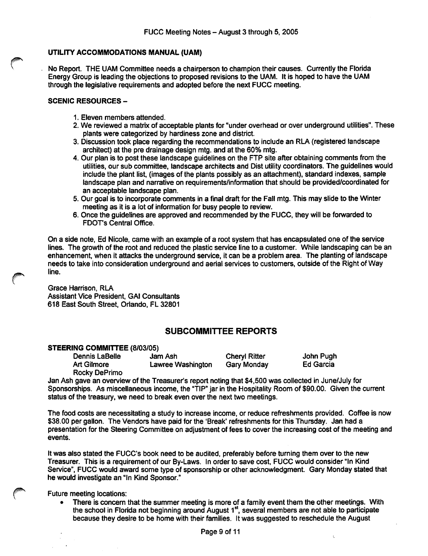## UTILITY ACCOMMODATIONS MANUAL (UAM)

No Report. THE UAM Committee needs a chairperson to champion their causes. Currently the Florida Energy Group is leading the objections to proposed revisions to the UAM. It is hoped to have the UAM through the legislative requirements and adopted before the next FUCC meeting.

# SCENIC RESOURCES -

- 1. Eleven members attended.
- 2. We reviewed a matrix of acceptable plants for "under overhead or over underground utilities". These plants were categorized by hardiness zone and district.
- 3. Discussion took place regarding the recommendations to include an RLA (registered landscape architect) at the pre drainage design mtg. and at the 60% mtg.
- 4. Our plan is to post these landscape guidelines on the FTP site after obtaining comments from the utilities, our sub committee, landscape architects and Dist utility coordinators. The guidelines would include the plant list, (images of the plants possibly as an attachment), standard indexes, sample landscape plan and narrative on requirements/information that should be provided/coordinated for an acceptable landscape plan.
- 5. Our goal is to incorporate comments in a final draft for the Fall mtg. This may slide to the Winter meeting as it is a lot of information for busy people to review.
- 6. Once the guidelines are approved and recommended by the FUCC, they will be forwarded to FDOT's Central Office.

On a side note, Ed Nicole, came with an example of a root system that has encapsulated one of the service lines. The growth of the root and reduced the plastic service line to a customer. While landscaping can be an enhancement, when it attacks the underground service, it can be a problem area. The planting of landscape needs to take into consideration underground and aerial services to customers, outside of the Right of Way line.

Grace Harrison, RLA Assistant Vice President, GAI Consultants 618 East South Street, Orlando, FL 32801

# SUBCOMMITTEE REPORTS

# **STEERING COMMITTEE (8/03/05)**<br>Dennis LaBelle and Ash

Dennis LaBelle Jam Ash Cheryl Ritter John Pugh<br>Art Gilmore Lawree Washington Gary Monday Ed Garcia Lawree Washington

 $\epsilon$ 

Rocky DePrimo Jan Ash gave an overview of the Treasurer's report noting that \$4,500 was collected in June/July for Sponsorships. As miscellaneous income, the "TIP" Jar in the Hospitality Room of \$90.00. Given the current status of the treasury, we need to break even over the next two meetings.

The food costs are necessitating a study to increase income, or reduce refreshments provided. Coffee is now \$38.00 per gallon. The Vendors have paid for the 'Break' refreshments for this Thursday. Jan had a presentation for the Steering Committee on adjustment of fees to cover the increasing cost of the meeting and events.

It was also stated the FUCC's book need to be audited, preferably before turning them over to the new Treasurer. This is a requirement of our By-Laws. In order to save cost, FUCC would consider "In Kind Service", FUCC would award some type of sponsorship or other acknowledgment. Gary Monday stated that he would investigate an "In Kind Sponsor."

Future meeting locations;

• There is concem that the summer meeting is more of a family event them the other meetings. With the school in Florida not beginning around August 1<sup>st</sup>, several members are not able to participate because they desire to be home with their families. It was suggested to reschedule the August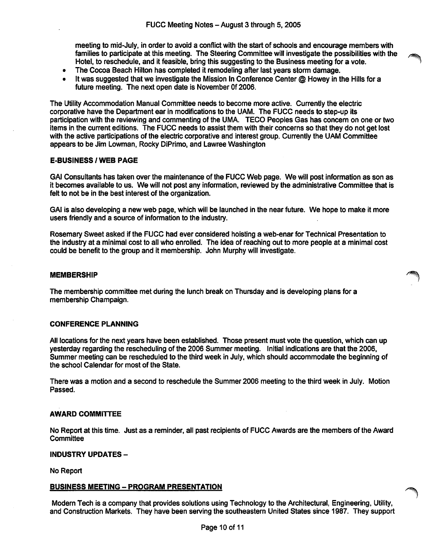meeting to mid-July, in order to avoid a conflict with the start of schoois and encourage members with ^milies to participate at this meeting. The Steering Committee will investigate the possibilities with the Hotel, to reschedule, and it feasible, bring this suggesting to the Business meeting for a vote.

- The Cocoa Beach Hilton has completed it remodeling after last years storm damage.
- It was suggested that we investigate the Mission In Conference Center @ Howey in the Hills for a future meeting. The next open date is November Of 2006.

The Utiiity Accommodation Manual Committee needs to become more active. Currentiy the eiectric corporative have the Department ear in modifications to the UAM. The FUCC needs to step-up its participation with the reviewing and commenting of the UMA. TECO Peopies Gas has concern on one or two items in the current editions. The FUCC needs to assist them with their concerns so that they do not get lost with the active participations of the electric corporative and interest group. Currently the UAM Committee appears to be Jim Lowman, Rocky DiPrimo, and Lawree Washington

# E-BUSINESS / WEB PAGE

GAI Consultants has taken over the maintenance of the FUCC Web page. We will post information as son as it becomes available to us. We will not post any information, reviewed by the administrative Committee that is felt to not be in the best interest of the organization.

GAI is also developing a new web page, which will be launched in the near future. We hope to make it more users friendly and a source of information to the industry.

Rosemary Sweet asked if the FUCC had ever considered hoisting a web-enar for Technical Presentation to the industry at a minimal cost to ail who enrolled. The idea of reaching out to more people at a minimal cost could be benefit to the group and it membership. John Murphy will investigate.

#### **MEMBERSHIP**

The membership committee met during the lunch break on Thursday and is developing plans for a membership Champaign.

#### CONFERENCE PLANNING

All locations for the next years have been established. Those present must vote the question, which can up yesterday regarding the rescheduling of the 2006 Summer meeting. Initial indications are that the 2006, Summer meeting can be rescheduled to the third week in July, which should accommodate the beginning of the school Calendar for most of the State.

There was a motion and a second to reschedule the Summer 2006 meeting to the third week in July. Motion Passed.

#### AWARD COMMITTEE

No Report at this time. Just as a reminder, all past recipients of FUCC Awards are the members of the Award **Committee** 

#### INDUSTRY UPDATES -

No Report

#### BUSINESS MEETING - PROGRAM PRESENTATION

Modern Tech is a company that provides solutions using Technology to the Architectural, Engineering, Utility, and Construction Markets. They have been serving the southeastern United States since 1987. They support